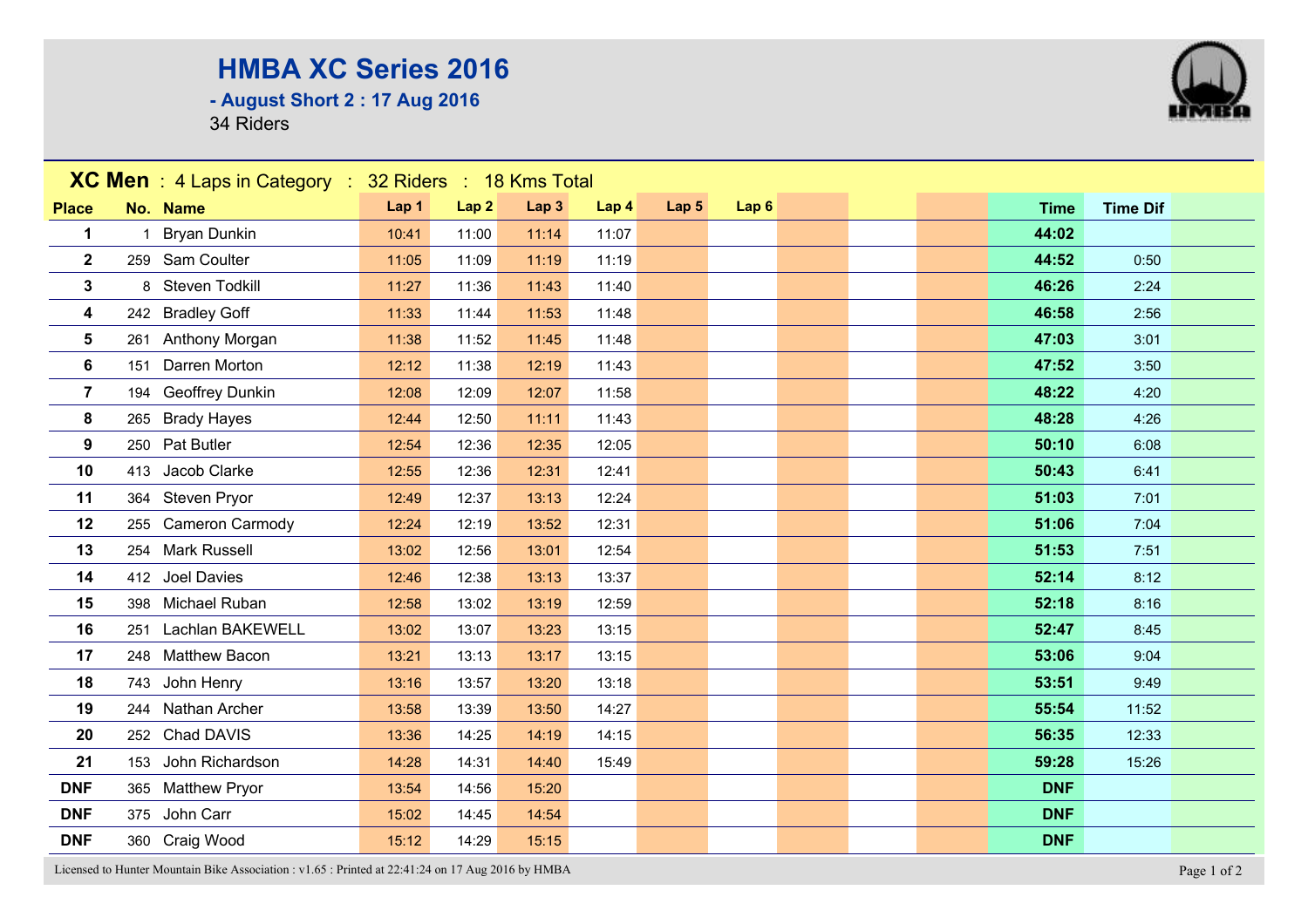## **HMBA XC Series 2016**

**- August Short 2 : 17 Aug 2016**

34 Riders



Licensed to Hunter Mountain Bike Association : v1.65 : Printed at 22:41:24 on 17 Aug 2016 by HMBA Page 1 of 2

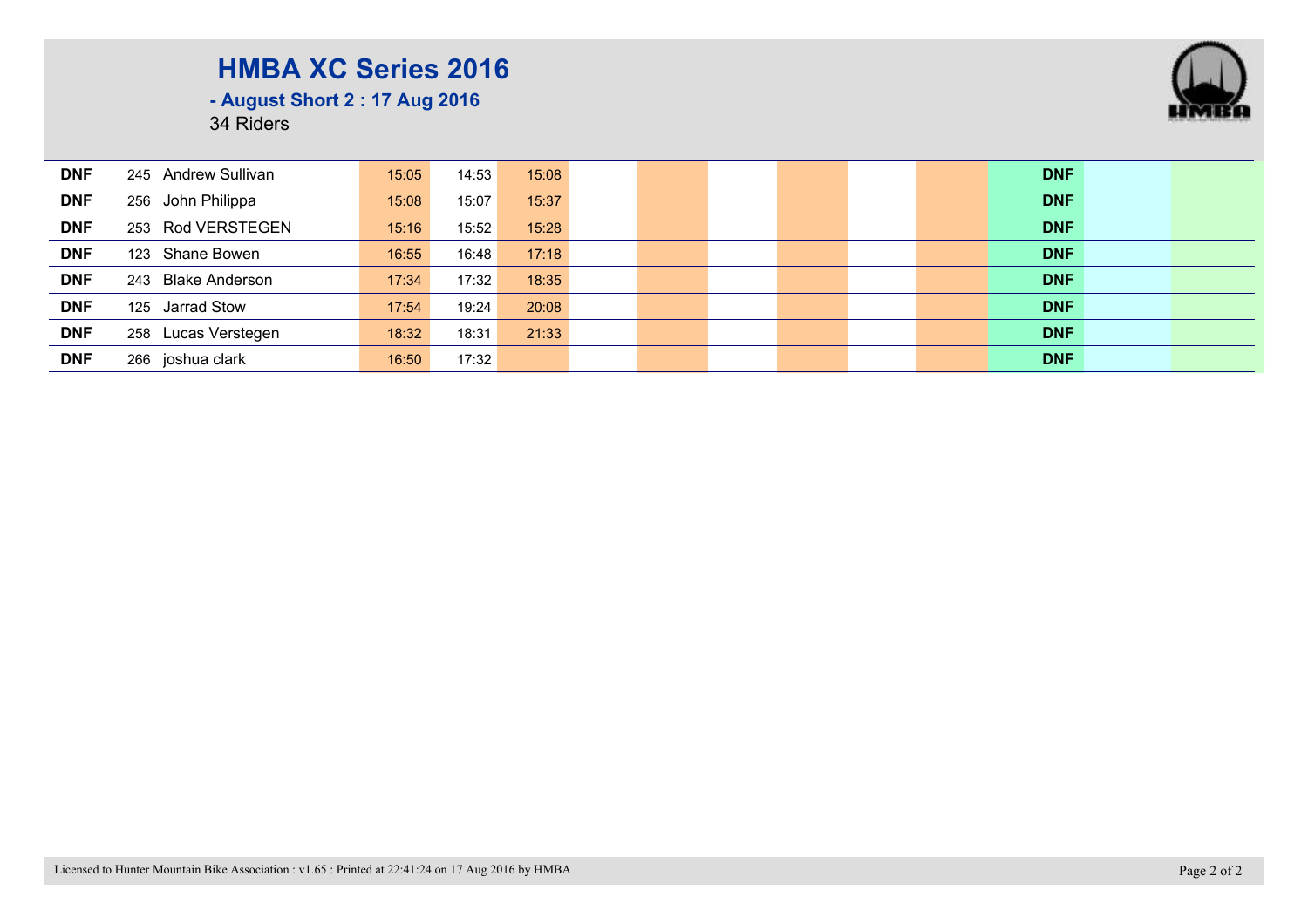## **HMBA XC Series 2016**



**- August Short 2 : 17 Aug 2016**

34 Riders

| <b>DNF</b> | 245 Andrew Sullivan | 15:05 | 14:53 | 15:08 |  |  |  | <b>DNF</b> |  |
|------------|---------------------|-------|-------|-------|--|--|--|------------|--|
| <b>DNF</b> | 256 John Philippa   | 15:08 | 15:07 | 15:37 |  |  |  | <b>DNF</b> |  |
| <b>DNF</b> | 253 Rod VERSTEGEN   | 15:16 | 15:52 | 15:28 |  |  |  | <b>DNF</b> |  |
| <b>DNF</b> | 123 Shane Bowen     | 16:55 | 16:48 | 17:18 |  |  |  | <b>DNF</b> |  |
| <b>DNF</b> | 243 Blake Anderson  | 17:34 | 17:32 | 18:35 |  |  |  | <b>DNF</b> |  |
| <b>DNF</b> | 125 Jarrad Stow     | 17:54 | 19:24 | 20:08 |  |  |  | <b>DNF</b> |  |
| <b>DNF</b> | 258 Lucas Verstegen | 18:32 | 18:31 | 21:33 |  |  |  | <b>DNF</b> |  |
| <b>DNF</b> | 266 joshua clark    | 16:50 | 17:32 |       |  |  |  | <b>DNF</b> |  |